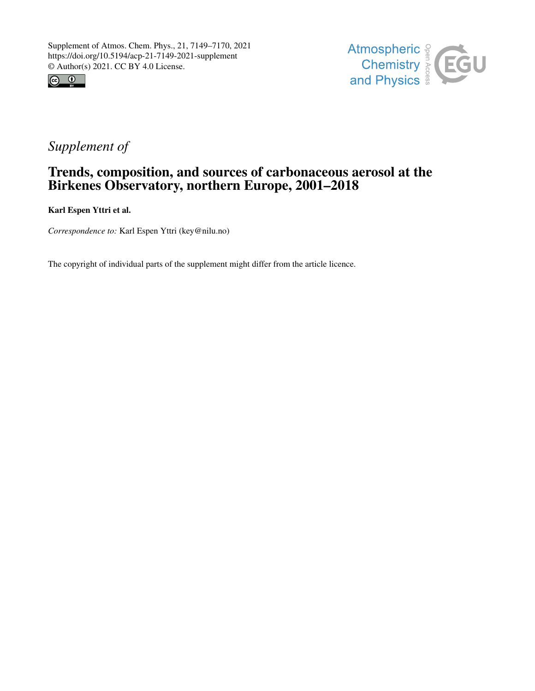



# *Supplement of*

## Trends, composition, and sources of carbonaceous aerosol at the Birkenes Observatory, northern Europe, 2001–2018

Karl Espen Yttri et al.

*Correspondence to:* Karl Espen Yttri (key@nilu.no)

The copyright of individual parts of the supplement might differ from the article licence.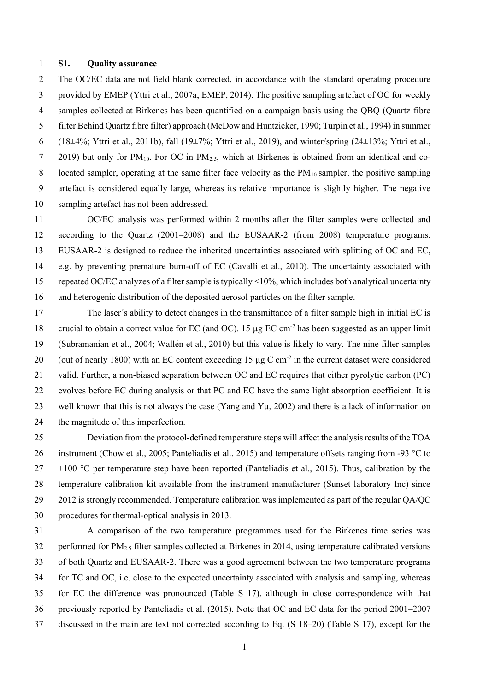#### **S1. Quality assurance**

 The OC/EC data are not field blank corrected, in accordance with the standard operating procedure provided by EMEP (Yttri et al., 2007a; EMEP, 2014). The positive sampling artefact of OC for weekly samples collected at Birkenes has been quantified on a campaign basis using the QBQ (Quartz fibre filter Behind Quartz fibre filter) approach (McDow and Huntzicker, 1990; Turpin et al., 1994) in summer 6 (18 $\pm$ 4%; Yttri et al., 2011b), fall (19 $\pm$ 7%; Yttri et al., 2019), and winter/spring (24 $\pm$ 13%; Yttri et al., 7 2019) but only for PM<sub>10</sub>. For OC in PM<sub>2.5</sub>, which at Birkenes is obtained from an identical and co-8 located sampler, operating at the same filter face velocity as the  $PM_{10}$  sampler, the positive sampling artefact is considered equally large, whereas its relative importance is slightly higher. The negative sampling artefact has not been addressed.

 OC/EC analysis was performed within 2 months after the filter samples were collected and according to the Quartz (2001–2008) and the EUSAAR-2 (from 2008) temperature programs. EUSAAR-2 is designed to reduce the inherited uncertainties associated with splitting of OC and EC, e.g. by preventing premature burn-off of EC (Cavalli et al., 2010). The uncertainty associated with repeated OC/EC analyzes of a filter sample is typically <10%, which includes both analytical uncertainty and heterogenic distribution of the deposited aerosol particles on the filter sample.

 The laser´s ability to detect changes in the transmittance of a filter sample high in initial EC is 18 crucial to obtain a correct value for EC (and OC). 15  $\mu$ g EC cm<sup>-2</sup> has been suggested as an upper limit (Subramanian et al., 2004; Wallén et al., 2010) but this value is likely to vary. The nine filter samples 20 (out of nearly 1800) with an EC content exceeding 15  $\mu$ g C cm<sup>-2</sup> in the current dataset were considered valid. Further, a non-biased separation between OC and EC requires that either pyrolytic carbon (PC) evolves before EC during analysis or that PC and EC have the same light absorption coefficient. It is well known that this is not always the case (Yang and Yu, 2002) and there is a lack of information on the magnitude of this imperfection.

 Deviation from the protocol-defined temperature steps will affect the analysis results of the TOA 26 instrument (Chow et al., 2005; Panteliadis et al., 2015) and temperature offsets ranging from -93 °C to  $27 +100$  °C per temperature step have been reported (Panteliadis et al., 2015). Thus, calibration by the temperature calibration kit available from the instrument manufacturer (Sunset laboratory Inc) since 2012 is strongly recommended. Temperature calibration was implemented as part of the regular QA/QC procedures for thermal-optical analysis in 2013.

 A comparison of the two temperature programmes used for the Birkenes time series was 32 performed for PM<sub>2.5</sub> filter samples collected at Birkenes in 2014, using temperature calibrated versions of both Quartz and EUSAAR-2. There was a good agreement between the two temperature programs for TC and OC, i.e. close to the expected uncertainty associated with analysis and sampling, whereas for EC the difference was pronounced (Table S 17), although in close correspondence with that previously reported by Panteliadis et al. (2015). Note that OC and EC data for the period 2001–2007 discussed in the main are text not corrected according to Eq. (S 18–20) (Table S 17), except for the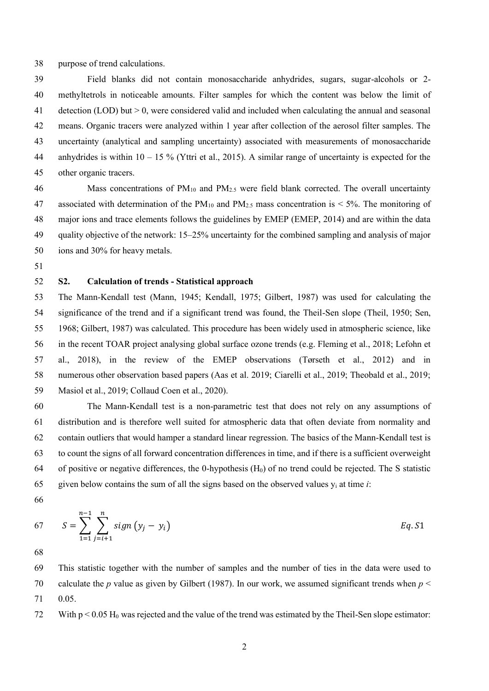purpose of trend calculations.

 Field blanks did not contain monosaccharide anhydrides, sugars, sugar-alcohols or 2- methyltetrols in noticeable amounts. Filter samples for which the content was below the limit of detection (LOD) but > 0, were considered valid and included when calculating the annual and seasonal means. Organic tracers were analyzed within 1 year after collection of the aerosol filter samples. The uncertainty (analytical and sampling uncertainty) associated with measurements of monosaccharide 44 anhydrides is within  $10 - 15\%$  (Yttri et al., 2015). A similar range of uncertainty is expected for the other organic tracers.

46 Mass concentrations of  $PM_{10}$  and  $PM_{2.5}$  were field blank corrected. The overall uncertainty 47 associated with determination of the  $PM_{10}$  and  $PM_{2.5}$  mass concentration is < 5%. The monitoring of major ions and trace elements follows the guidelines by EMEP (EMEP, 2014) and are within the data quality objective of the network: 15–25% uncertainty for the combined sampling and analysis of major ions and 30% for heavy metals.

## **S2. Calculation of trends - Statistical approach**

 The Mann-Kendall test (Mann, 1945; Kendall, 1975; Gilbert, 1987) was used for calculating the significance of the trend and if a significant trend was found, the Theil-Sen slope (Theil, 1950; Sen, 1968; Gilbert, 1987) was calculated. This procedure has been widely used in atmospheric science, like in the recent TOAR project analysing global surface ozone trends (e.g. Fleming et al., 2018; Lefohn et al., 2018), in the review of the EMEP observations (Tørseth et al., 2012) and in numerous other observation based papers (Aas et al. 2019; Ciarelli et al., 2019; Theobald et al., 2019; Masiol et al., 2019; Collaud Coen et al., 2020).

 The Mann-Kendall test is a non-parametric test that does not rely on any assumptions of distribution and is therefore well suited for atmospheric data that often deviate from normality and contain outliers that would hamper a standard linear regression. The basics of the Mann-Kendall test is to count the signs of all forward concentration differences in time, and if there is a sufficient overweight 64 of positive or negative differences, the 0-hypothesis  $(H_0)$  of no trend could be rejected. The S statistic 65 given below contains the sum of all the signs based on the observed values  $y_i$  at time *i*:

67 
$$
S = \sum_{1=1}^{n-1} \sum_{j=i+1}^{n} sign (y_j - y_i)
$$
 Eq.S1

 This statistic together with the number of samples and the number of ties in the data were used to calculate the *p* value as given by Gilbert (1987). In our work, we assumed significant trends when *p* < 0.05.

72 With  $p < 0.05$  H<sub>0</sub> was rejected and the value of the trend was estimated by the Theil-Sen slope estimator: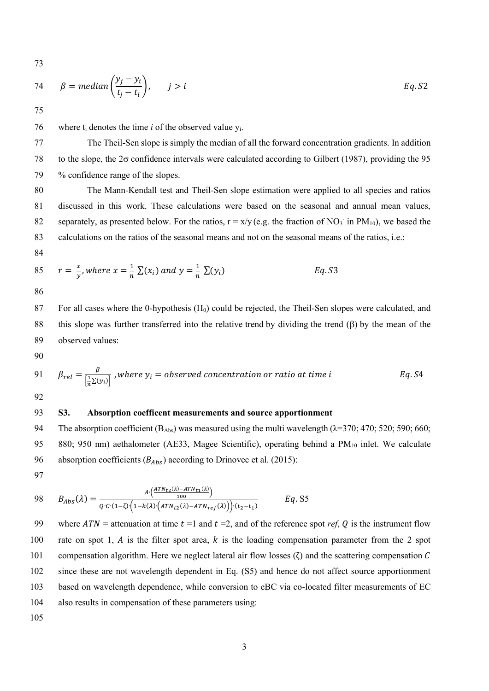73

74 
$$
\beta = \text{median}\left(\frac{y_j - y_i}{t_j - t_i}\right), \qquad j > i
$$
   
 Eq. S2

75

76 where  $t_i$  denotes the time *i* of the observed value  $y_i$ .

77 The Theil-Sen slope is simply the median of all the forward concentration gradients. In addition 78 to the slope, the  $2\sigma$  confidence intervals were calculated according to Gilbert (1987), providing the 95 79 % confidence range of the slopes.

 The Mann-Kendall test and Theil-Sen slope estimation were applied to all species and ratios discussed in this work. These calculations were based on the seasonal and annual mean values, 82 separately, as presented below. For the ratios,  $r = x/y$  (e.g. the fraction of NO<sub>3</sub> in PM<sub>10</sub>), we based the calculations on the ratios of the seasonal means and not on the seasonal means of the ratios, i.e.:

84

85 
$$
r = \frac{x}{y}
$$
, where  $x = \frac{1}{n} \sum (x_i)$  and  $y = \frac{1}{n} \sum (y_i)$  Eq. S3

86

87 For all cases where the 0-hypothesis (H<sub>0</sub>) could be rejected, the Theil-Sen slopes were calculated, and 88 this slope was further transferred into the relative trend by dividing the trend  $(\beta)$  by the mean of the 89 observed values:

90

91 
$$
\beta_{rel} = \frac{\beta}{\left[\frac{1}{n}\Sigma(y_i)\right]}
$$
, where  $y_i$  = observed concentration or ratio at time i  $Eq.S4$ 

92

#### 93 **S3. Absorption coefficent measurements and source apportionment**

94 The absorption coefficient ( $B_{Abs}$ ) was measured using the multi wavelength ( $\lambda$ =370; 470; 520; 590; 660; 95 880; 950 nm) aethalometer (AE33, Magee Scientific), operating behind a PM<sub>10</sub> inlet. We calculate 96 absorption coefficients  $(B_{Abs})$  according to Drinovec et al. (2015):

97

98 
$$
B_{Abs}(\lambda) = \frac{A \cdot \left(\frac{ATN_{t2}(\lambda) - ATN_{t1}(\lambda)}{100}\right)}{Q \cdot C \cdot (1 - \zeta) \cdot \left(1 - k(\lambda) \cdot \left(ATN_{t2}(\lambda) - ATN_{ref}(\lambda)\right)\right) \cdot (t_2 - t_1)}
$$
 Eq. S5

99 where  $ATN =$  attenuation at time  $t = 1$  and  $t = 2$ , and of the reference spot *ref*, Q is the instrument flow 100 rate on spot 1,  $\hat{A}$  is the filter spot area,  $\hat{k}$  is the loading compensation parameter from the 2 spot 101 compensation algorithm. Here we neglect lateral air flow losses ( $\zeta$ ) and the scattering compensation C 102 since these are not wavelength dependent in Eq. (S5) and hence do not affect source apportionment 103 based on wavelength dependence, while conversion to eBC via co-located filter measurements of EC 104 also results in compensation of these parameters using: 105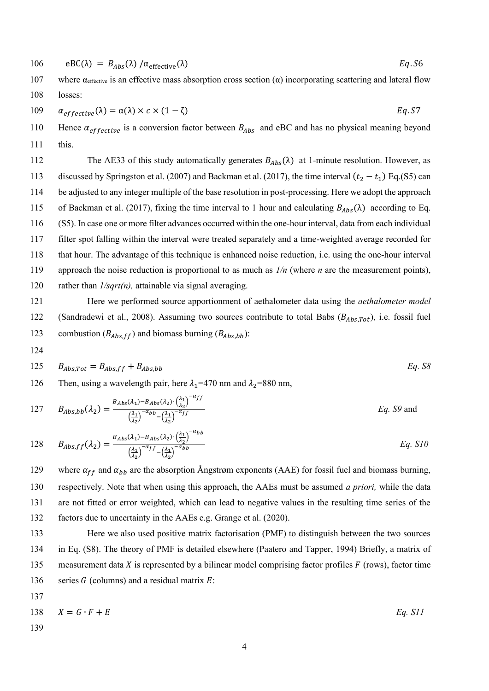106 
$$
\text{eBC}(\lambda) = B_{\text{Abs}}(\lambda) / \alpha_{\text{effective}}(\lambda)
$$
  $Eq.56$ 

107 where  $\alpha_{effective}$  is an effective mass absorption cross section ( $\alpha$ ) incorporating scattering and lateral flow 108 losses:

109 
$$
\alpha_{effective}(\lambda) = \alpha(\lambda) \times c \times (1 - \zeta)
$$
   
Eq. S7

110 Hence  $\alpha_{effective}$  is a conversion factor between  $B_{Abs}$  and eBC and has no physical meaning beyond 111 this.

112 The AE33 of this study automatically generates  $B_{Abs}(\lambda)$  at 1-minute resolution. However, as discussed by Springston et al. (2007) and Backman et al. (2017), the time interval  $(t_2 - t_1)$  Eq.(S5) can be adjusted to any integer multiple of the base resolution in post-processing. Here we adopt the approach 115 of Backman et al. (2017), fixing the time interval to 1 hour and calculating  $B_{Abs}(\lambda)$  according to Eq. (S5). In case one or more filter advances occurred within the one-hour interval, data from each individual filter spot falling within the interval were treated separately and a time-weighted average recorded for that hour. The advantage of this technique is enhanced noise reduction, i.e. using the one-hour interval approach the noise reduction is proportional to as much as *1/n* (where *n* are the measurement points), rather than *1/sqrt(n),* attainable via signal averaging.

121 Here we performed source apportionment of aethalometer data using the *aethalometer model*  122 (Sandradewi et al., 2008). Assuming two sources contribute to total Babs  $(B_{Abs,Tot})$ , i.e. fossil fuel 123 combustion  $(B_{Abs,ff})$  and biomass burning  $(B_{Abs,bb})$ :

124

$$
125 \t BAbs,Tot = BAbs,ff + BAbs,bb \t Eq. S8
$$

126 Then, using a wavelength pair, here  $\lambda_1$ =470 nm and  $\lambda_2$ =880 nm,

127 
$$
B_{Abs,bb}(\lambda_2) = \frac{B_{Abs}(\lambda_1) - B_{Abs}(\lambda_2) \cdot (\frac{\lambda_1}{\lambda_2})^{-\alpha} f f}{(\frac{\lambda_1}{\lambda_2})^{-\alpha} b^b - (\frac{\lambda_1}{\lambda_2})^{-\alpha} f f}
$$
 Eq. S9 and

128 
$$
B_{Abs,ff}(\lambda_2) = \frac{B_{Abs}(\lambda_1) - B_{Abs}(\lambda_2) \cdot \left(\frac{\lambda_1}{\lambda_2}\right)^{-\alpha_{bb}}}{\left(\frac{\lambda_1}{\lambda_2}\right)^{-\alpha_{ff}} - \left(\frac{\lambda_1}{\lambda_2}\right)^{-\alpha_{bb}}} Eq. S10
$$

129 where  $\alpha_{ff}$  and  $\alpha_{bb}$  are the absorption Ångstrøm exponents (AAE) for fossil fuel and biomass burning, respectively. Note that when using this approach, the AAEs must be assumed *a priori,* while the data are not fitted or error weighted, which can lead to negative values in the resulting time series of the factors due to uncertainty in the AAEs e.g. Grange et al. (2020).

133 Here we also used positive matrix factorisation (PMF) to distinguish between the two sources 134 in Eq. (S8). The theory of PMF is detailed elsewhere (Paatero and Tapper, 1994) Briefly, a matrix of 135 measurement data  $X$  is represented by a bilinear model comprising factor profiles  $F$  (rows), factor time 136 series  $G$  (columns) and a residual matrix  $E$ :

137

$$
138 \t\t X = G \cdot F + E \t\t Eq. S11
$$

139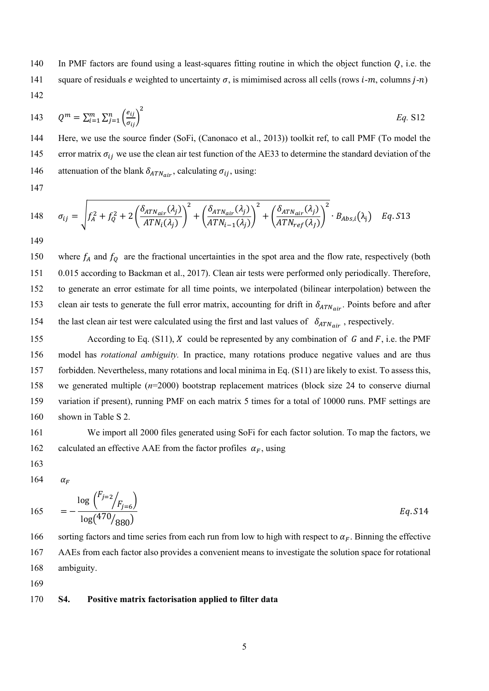140 In PMF factors are found using a least-squares fitting routine in which the object function  $Q$ , i.e. the 141 square of residuals e weighted to uncertainty  $\sigma$ , is mimimised across all cells (rows *i-m*, columns *j-n*) 142

143 
$$
Q^m = \sum_{i=1}^m \sum_{j=1}^n \left(\frac{e_{ij}}{\sigma_{ij}}\right)^2
$$
 Eq. S12

144 Here, we use the source finder (SoFi, (Canonaco et al., 2013)) toolkit ref, to call PMF (To model the 145 error matrix  $\sigma_{ij}$  we use the clean air test function of the AE33 to determine the standard deviation of the 146 attenuation of the blank  $\delta_{ATN_{air}}$ , calculating  $\sigma_{ij}$ , using:

147

148 
$$
\sigma_{ij} = \sqrt{f_A^2 + f_Q^2 + 2\left(\frac{\delta_{ATN_{air}}(\lambda_j)}{ATN_i(\lambda_j)}\right)^2 + \left(\frac{\delta_{ATN_{air}}(\lambda_j)}{ATN_{i-1}(\lambda_j)}\right)^2 + \left(\frac{\delta_{ATN_{air}}(\lambda_j)}{ATN_{ref}(\lambda_j)}\right)^2} \cdot B_{Abs,i}(\lambda_j) \quad Eq. S13
$$

149

150 where  $f_A$  and  $f_O$  are the fractional uncertainties in the spot area and the flow rate, respectively (both 151 0.015 according to Backman et al., 2017). Clean air tests were performed only periodically. Therefore, 152 to generate an error estimate for all time points, we interpolated (bilinear interpolation) between the 153 clean air tests to generate the full error matrix, accounting for drift in  $\delta_{ATN,air}$ . Points before and after 154 the last clean air test were calculated using the first and last values of  $\delta_{ATN_{air}}$ , respectively.

155 According to Eq. (S11), X could be represented by any combination of  $G$  and  $F$ , i.e. the PMF model has *rotational ambiguity.* In practice, many rotations produce negative values and are thus forbidden. Nevertheless, many rotations and local minima in Eq. (S11) are likely to exist. To assess this, we generated multiple (*n*=2000) bootstrap replacement matrices (block size 24 to conserve diurnal variation if present), running PMF on each matrix 5 times for a total of 10000 runs. PMF settings are shown in Table S 2.

161 We import all 2000 files generated using SoFi for each factor solution. To map the factors, we 162 calculated an effective AAE from the factor profiles  $\alpha_F$ , using

163

164  $\alpha_F$ 

165 
$$
= -\frac{\log \binom{F_{j=2}}{F_{j=6}}}{\log(470/880)}
$$
 Eq. S14

166 sorting factors and time series from each run from low to high with respect to  $\alpha_F$ . Binning the effective 167 AAEs from each factor also provides a convenient means to investigate the solution space for rotational 168 ambiguity.

169

#### 170 **S4. Positive matrix factorisation applied to filter data**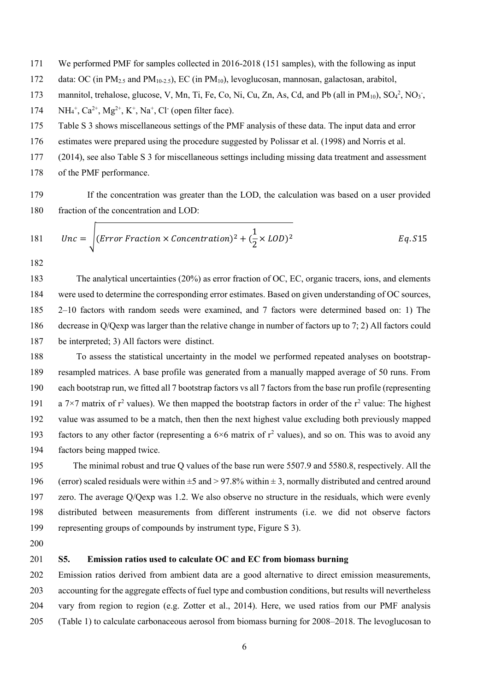- We performed PMF for samples collected in 2016-2018 (151 samples), with the following as input
- 172 data: OC (in PM<sub>2.5</sub> and PM<sub>10-2.5</sub>), EC (in PM<sub>10</sub>), levoglucosan, mannosan, galactosan, arabitol,
- 173 mannitol, trehalose, glucose, V, Mn, Ti, Fe, Co, Ni, Cu, Zn, As, Cd, and Pb (all in PM<sub>10</sub>),  $SO_4^2$ , NO<sub>3</sub>,
- 174  $NH_4^+$ ,  $Ca^{2+}$ ,  $Mg^{2+}$ ,  $K^+$ ,  $Na^+$ ,  $Cl^-$  (open filter face).
- Table S 3 shows miscellaneous settings of the PMF analysis of these data. The input data and error
- estimates were prepared using the procedure suggested by Polissar et al. (1998) and Norris et al.
- (2014), see also Table S 3 for miscellaneous settings including missing data treatment and assessment
- of the PMF performance.
- If the concentration was greater than the LOD, the calculation was based on a user provided fraction of the concentration and LOD:

181 
$$
Unc = \sqrt{(Error Fraction \times Concentration)^2 + (\frac{1}{2} \times LOD)^2}
$$
 Eq. S15

 The analytical uncertainties (20%) as error fraction of OC, EC, organic tracers, ions, and elements were used to determine the corresponding error estimates. Based on given understanding of OC sources, 2–10 factors with random seeds were examined, and 7 factors were determined based on: 1) The decrease in Q/Qexp was larger than the relative change in number of factors up to 7; 2) All factors could be interpreted; 3) All factors were distinct.

 To assess the statistical uncertainty in the model we performed repeated analyses on bootstrap- resampled matrices. A base profile was generated from a manually mapped average of 50 runs. From each bootstrap run, we fitted all 7 bootstrap factors vs all 7 factors from the base run profile (representing 191 a 7×7 matrix of  $r^2$  values). We then mapped the bootstrap factors in order of the  $r^2$  value: The highest value was assumed to be a match, then then the next highest value excluding both previously mapped 193 factors to any other factor (representing a  $6\times 6$  matrix of  $r^2$  values), and so on. This was to avoid any factors being mapped twice.

 The minimal robust and true Q values of the base run were 5507.9 and 5580.8, respectively. All the 196 (error) scaled residuals were within  $\pm 5$  and  $> 97.8\%$  within  $\pm 3$ , normally distributed and centred around zero. The average Q/Qexp was 1.2. We also observe no structure in the residuals, which were evenly distributed between measurements from different instruments (i.e. we did not observe factors representing groups of compounds by instrument type, Figure S 3).

#### **S5. Emission ratios used to calculate OC and EC from biomass burning**

 Emission ratios derived from ambient data are a good alternative to direct emission measurements, accounting for the aggregate effects of fuel type and combustion conditions, but results will nevertheless vary from region to region (e.g. Zotter et al., 2014). Here, we used ratios from our PMF analysis (Table 1) to calculate carbonaceous aerosol from biomass burning for 2008–2018. The levoglucosan to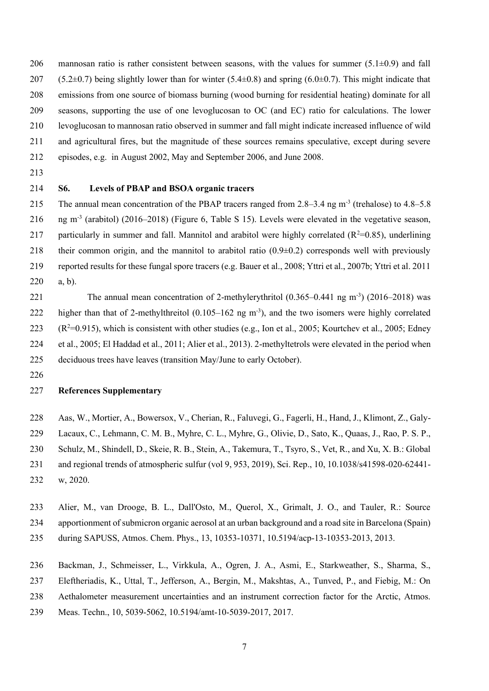206 mannosan ratio is rather consistent between seasons, with the values for summer  $(5.1\pm0.9)$  and fall 207 (5.2 $\pm$ 0.7) being slightly lower than for winter (5.4 $\pm$ 0.8) and spring (6.0 $\pm$ 0.7). This might indicate that emissions from one source of biomass burning (wood burning for residential heating) dominate for all seasons, supporting the use of one levoglucosan to OC (and EC) ratio for calculations. The lower levoglucosan to mannosan ratio observed in summer and fall might indicate increased influence of wild and agricultural fires, but the magnitude of these sources remains speculative, except during severe episodes, e.g. in August 2002, May and September 2006, and June 2008.

- 
- 

## **S6. Levels of PBAP and BSOA organic tracers**

215 The annual mean concentration of the PBAP tracers ranged from 2.8–3.4 ng m<sup>-3</sup> (trehalose) to 4.8–5.8 216  $\mu$  ng m<sup>-3</sup> (arabitol) (2016–2018) (Figure 6, Table S 15). Levels were elevated in the vegetative season, 217 particularly in summer and fall. Mannitol and arabitol were highly correlated  $(R^2=0.85)$ , underlining their common origin, and the mannitol to arabitol ratio (0.9±0.2) corresponds well with previously reported results for these fungal spore tracers (e.g. Bauer et al., 2008; Yttri et al., 2007b; Yttri et al. 2011 a, b).

221 The annual mean concentration of 2-methylerythritol  $(0.365-0.441 \text{ ng m}^3)$   $(2016-2018)$  was 222 higher than that of 2-methylthreitol  $(0.105-162 \text{ ng m}^3)$ , and the two isomers were highly correlated  $(223 \text{ (R}^2=0.915), \text{ which is consistent with other studies (e.g., Ion et al., } 2005; \text{Kour, the end of the two times the same time).}$  et al., 2005; El Haddad et al., 2011; Alier et al., 2013). 2-methyltetrols were elevated in the period when deciduous trees have leaves (transition May/June to early October).

#### **References Supplementary**

 Aas, W., Mortier, A., Bowersox, V., Cherian, R., Faluvegi, G., Fagerli, H., Hand, J., Klimont, Z., Galy- Lacaux, C., Lehmann, C. M. B., Myhre, C. L., Myhre, G., Olivie, D., Sato, K., Quaas, J., Rao, P. S. P., Schulz, M., Shindell, D., Skeie, R. B., Stein, A., Takemura, T., Tsyro, S., Vet, R., and Xu, X. B.: Global and regional trends of atmospheric sulfur (vol 9, 953, 2019), Sci. Rep., 10, 10.1038/s41598-020-62441- w, 2020.

Alier, M., van Drooge, B. L., Dall'Osto, M., Querol, X., Grimalt, J. O., and Tauler, R.: Source

apportionment of submicron organic aerosol at an urban background and a road site in Barcelona (Spain)

during SAPUSS, Atmos. Chem. Phys., 13, 10353-10371, 10.5194/acp-13-10353-2013, 2013.

 Backman, J., Schmeisser, L., Virkkula, A., Ogren, J. A., Asmi, E., Starkweather, S., Sharma, S., Eleftheriadis, K., Uttal, T., Jefferson, A., Bergin, M., Makshtas, A., Tunved, P., and Fiebig, M.: On Aethalometer measurement uncertainties and an instrument correction factor for the Arctic, Atmos. Meas. Techn., 10, 5039-5062, 10.5194/amt-10-5039-2017, 2017.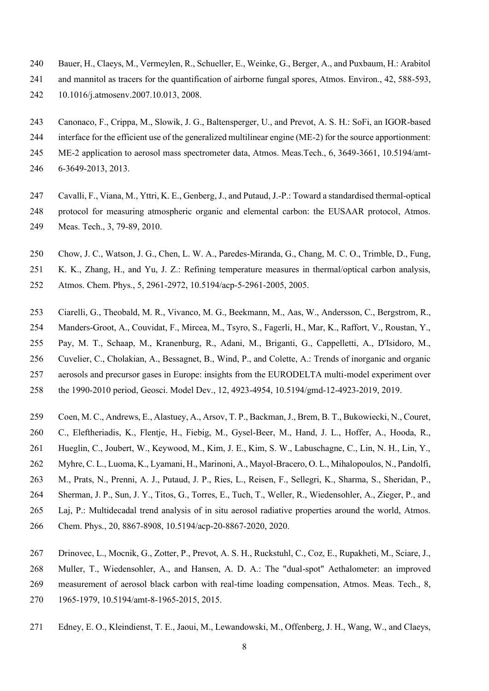- Bauer, H., Claeys, M., Vermeylen, R., Schueller, E., Weinke, G., Berger, A., and Puxbaum, H.: Arabitol
- and mannitol as tracers for the quantification of airborne fungal spores, Atmos. Environ., 42, 588-593, 10.1016/j.atmosenv.2007.10.013, 2008.
- Canonaco, F., Crippa, M., Slowik, J. G., Baltensperger, U., and Prevot, A. S. H.: SoFi, an IGOR-based
- interface for the efficient use of the generalized multilinear engine (ME-2) for the source apportionment: ME-2 application to aerosol mass spectrometer data, Atmos. Meas.Tech., 6, 3649-3661, 10.5194/amt-
- 
- 6-3649-2013, 2013.
- Cavalli, F., Viana, M., Yttri, K. E., Genberg, J., and Putaud, J.-P.: Toward a standardised thermal-optical protocol for measuring atmospheric organic and elemental carbon: the EUSAAR protocol, Atmos. Meas. Tech., 3, 79-89, 2010.
- Chow, J. C., Watson, J. G., Chen, L. W. A., Paredes-Miranda, G., Chang, M. C. O., Trimble, D., Fung,
- K. K., Zhang, H., and Yu, J. Z.: Refining temperature measures in thermal/optical carbon analysis,
- Atmos. Chem. Phys., 5, 2961-2972, 10.5194/acp-5-2961-2005, 2005.
- Ciarelli, G., Theobald, M. R., Vivanco, M. G., Beekmann, M., Aas, W., Andersson, C., Bergstrom, R., Manders-Groot, A., Couvidat, F., Mircea, M., Tsyro, S., Fagerli, H., Mar, K., Raffort, V., Roustan, Y., Pay, M. T., Schaap, M., Kranenburg, R., Adani, M., Briganti, G., Cappelletti, A., D'Isidoro, M., Cuvelier, C., Cholakian, A., Bessagnet, B., Wind, P., and Colette, A.: Trends of inorganic and organic aerosols and precursor gases in Europe: insights from the EURODELTA multi-model experiment over the 1990-2010 period, Geosci. Model Dev., 12, 4923-4954, 10.5194/gmd-12-4923-2019, 2019.
- 
- Coen, M. C., Andrews, E., Alastuey, A., Arsov, T. P., Backman, J., Brem, B. T., Bukowiecki, N., Couret, C., Eleftheriadis, K., Flentje, H., Fiebig, M., Gysel-Beer, M., Hand, J. L., Hoffer, A., Hooda, R.,
- Hueglin, C., Joubert, W., Keywood, M., Kim, J. E., Kim, S. W., Labuschagne, C., Lin, N. H., Lin, Y.,
- Myhre, C. L., Luoma, K., Lyamani, H., Marinoni, A., Mayol-Bracero, O. L., Mihalopoulos, N., Pandolfi,
- M., Prats, N., Prenni, A. J., Putaud, J. P., Ries, L., Reisen, F., Sellegri, K., Sharma, S., Sheridan, P.,
- Sherman, J. P., Sun, J. Y., Titos, G., Torres, E., Tuch, T., Weller, R., Wiedensohler, A., Zieger, P., and
- Laj, P.: Multidecadal trend analysis of in situ aerosol radiative properties around the world, Atmos.
- Chem. Phys., 20, 8867-8908, 10.5194/acp-20-8867-2020, 2020.
- Drinovec, L., Mocnik, G., Zotter, P., Prevot, A. S. H., Ruckstuhl, C., Coz, E., Rupakheti, M., Sciare, J., Muller, T., Wiedensohler, A., and Hansen, A. D. A.: The "dual-spot" Aethalometer: an improved measurement of aerosol black carbon with real-time loading compensation, Atmos. Meas. Tech., 8, 1965-1979, 10.5194/amt-8-1965-2015, 2015.
- Edney, E. O., Kleindienst, T. E., Jaoui, M., Lewandowski, M., Offenberg, J. H., Wang, W., and Claeys,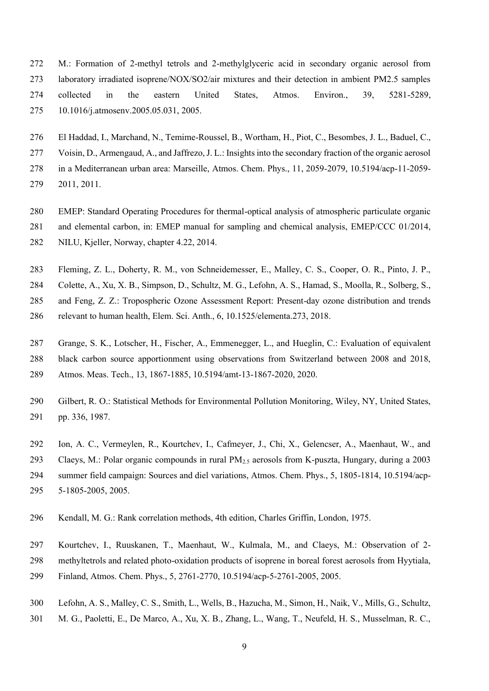- M.: Formation of 2-methyl tetrols and 2-methylglyceric acid in secondary organic aerosol from laboratory irradiated isoprene/NOX/SO2/air mixtures and their detection in ambient PM2.5 samples collected in the eastern United States, Atmos. Environ., 39, 5281-5289, 10.1016/j.atmosenv.2005.05.031, 2005.
- El Haddad, I., Marchand, N., Temime-Roussel, B., Wortham, H., Piot, C., Besombes, J. L., Baduel, C.,

Voisin, D., Armengaud, A., and Jaffrezo, J. L.: Insights into the secondary fraction of the organic aerosol

- in a Mediterranean urban area: Marseille, Atmos. Chem. Phys., 11, 2059-2079, 10.5194/acp-11-2059-
- 2011, 2011.
- EMEP: Standard Operating Procedures for thermal-optical analysis of atmospheric particulate organic and elemental carbon, in: EMEP manual for sampling and chemical analysis, EMEP/CCC 01/2014,
- NILU, Kjeller, Norway, chapter 4.22, 2014.
- Fleming, Z. L., Doherty, R. M., von Schneidemesser, E., Malley, C. S., Cooper, O. R., Pinto, J. P.,
- Colette, A., Xu, X. B., Simpson, D., Schultz, M. G., Lefohn, A. S., Hamad, S., Moolla, R., Solberg, S.,
- and Feng, Z. Z.: Tropospheric Ozone Assessment Report: Present-day ozone distribution and trends
- relevant to human health, Elem. Sci. Anth., 6, 10.1525/elementa.273, 2018.
- Grange, S. K., Lotscher, H., Fischer, A., Emmenegger, L., and Hueglin, C.: Evaluation of equivalent black carbon source apportionment using observations from Switzerland between 2008 and 2018, Atmos. Meas. Tech., 13, 1867-1885, 10.5194/amt-13-1867-2020, 2020.
- Gilbert, R. O.: Statistical Methods for Environmental Pollution Monitoring, Wiley, NY, United States, pp. 336, 1987.
- Ion, A. C., Vermeylen, R., Kourtchev, I., Cafmeyer, J., Chi, X., Gelencser, A., Maenhaut, W., and
- Claeys, M.: Polar organic compounds in rural PM2.5 aerosols from K-puszta, Hungary, during a 2003 summer field campaign: Sources and diel variations, Atmos. Chem. Phys., 5, 1805-1814, 10.5194/acp-5-1805-2005, 2005.
- Kendall, M. G.: Rank correlation methods, 4th edition, Charles Griffin, London, 1975.
- Kourtchev, I., Ruuskanen, T., Maenhaut, W., Kulmala, M., and Claeys, M.: Observation of 2-
- methyltetrols and related photo-oxidation products of isoprene in boreal forest aerosols from Hyytiala,
- Finland, Atmos. Chem. Phys., 5, 2761-2770, 10.5194/acp-5-2761-2005, 2005.
- Lefohn, A. S., Malley, C. S., Smith, L., Wells, B., Hazucha, M., Simon, H., Naik, V., Mills, G., Schultz,
- M. G., Paoletti, E., De Marco, A., Xu, X. B., Zhang, L., Wang, T., Neufeld, H. S., Musselman, R. C.,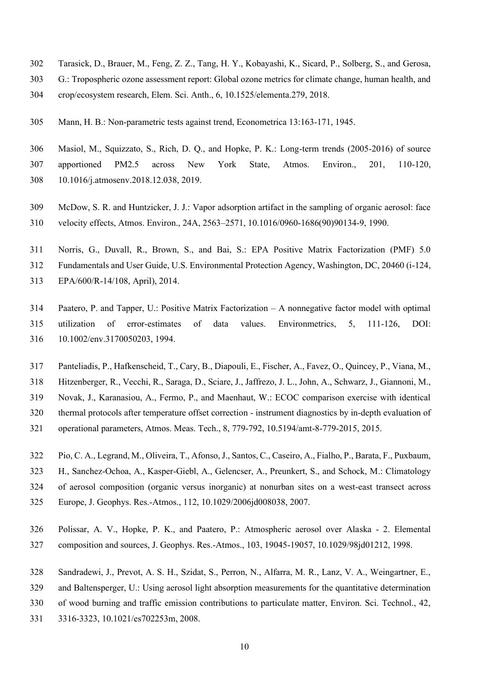- Tarasick, D., Brauer, M., Feng, Z. Z., Tang, H. Y., Kobayashi, K., Sicard, P., Solberg, S., and Gerosa,
- G.: Tropospheric ozone assessment report: Global ozone metrics for climate change, human health, and crop/ecosystem research, Elem. Sci. Anth., 6, 10.1525/elementa.279, 2018.
- Mann, H. B.: Non-parametric tests against trend, Econometrica 13:163-171, 1945.
- Masiol, M., Squizzato, S., Rich, D. Q., and Hopke, P. K.: Long-term trends (2005-2016) of source apportioned PM2.5 across New York State, Atmos. Environ., 201, 110-120, 10.1016/j.atmosenv.2018.12.038, 2019.
- McDow, S. R. and Huntzicker, J. J.: Vapor adsorption artifact in the sampling of organic aerosol: face velocity effects, Atmos. Environ., 24A, 2563–2571, 10.1016/0960-1686(90)90134-9, 1990.
- Norris, G., Duvall, R., Brown, S., and Bai, S.: EPA Positive Matrix Factorization (PMF) 5.0 Fundamentals and User Guide, U.S. Environmental Protection Agency, Washington, DC, 20460 (i-124, EPA/600/R-14/108, April), 2014.
- Paatero, P. and Tapper, U.: Positive Matrix Factorization A nonnegative factor model with optimal utilization of error-estimates of data values. Environmetrics, 5, 111-126, DOI: 10.1002/env.3170050203, 1994.
- Panteliadis, P., Hafkenscheid, T., Cary, B., Diapouli, E., Fischer, A., Favez, O., Quincey, P., Viana, M.,
- Hitzenberger, R., Vecchi, R., Saraga, D., Sciare, J., Jaffrezo, J. L., John, A., Schwarz, J., Giannoni, M.,
- Novak, J., Karanasiou, A., Fermo, P., and Maenhaut, W.: ECOC comparison exercise with identical
- thermal protocols after temperature offset correction instrument diagnostics by in-depth evaluation of
- operational parameters, Atmos. Meas. Tech., 8, 779-792, 10.5194/amt-8-779-2015, 2015.
- Pio, C. A., Legrand, M., Oliveira, T., Afonso, J., Santos, C., Caseiro, A., Fialho, P., Barata, F., Puxbaum, H., Sanchez-Ochoa, A., Kasper-Giebl, A., Gelencser, A., Preunkert, S., and Schock, M.: Climatology of aerosol composition (organic versus inorganic) at nonurban sites on a west-east transect across
- Europe, J. Geophys. Res.-Atmos., 112, 10.1029/2006jd008038, 2007.
- Polissar, A. V., Hopke, P. K., and Paatero, P.: Atmospheric aerosol over Alaska 2. Elemental composition and sources, J. Geophys. Res.-Atmos., 103, 19045-19057, 10.1029/98jd01212, 1998.
- Sandradewi, J., Prevot, A. S. H., Szidat, S., Perron, N., Alfarra, M. R., Lanz, V. A., Weingartner, E.,
- and Baltensperger, U.: Using aerosol light absorption measurements for the quantitative determination
- of wood burning and traffic emission contributions to particulate matter, Environ. Sci. Technol., 42,
- 3316-3323, 10.1021/es702253m, 2008.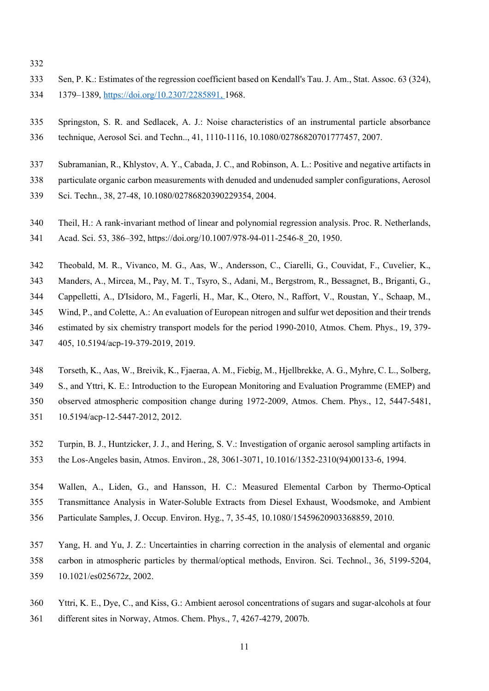- 
- Sen, P. K.: Estimates of the regression coefficient based on Kendall's Tau. J. Am., Stat. Assoc. 63 (324), 1379–1389, [https://doi.org/10.2307/2285891,](https://doi.org/10.2307/2285891) 1968.
- Springston, S. R. and Sedlacek, A. J.: Noise characteristics of an instrumental particle absorbance technique, Aerosol Sci. and Techn.., 41, 1110-1116, 10.1080/02786820701777457, 2007.
- Subramanian, R., Khlystov, A. Y., Cabada, J. C., and Robinson, A. L.: Positive and negative artifacts in
- particulate organic carbon measurements with denuded and undenuded sampler configurations, Aerosol
- Sci. Techn., 38, 27-48, 10.1080/02786820390229354, 2004.
- Theil, H.: A rank-invariant method of linear and polynomial regression analysis. Proc. R. Netherlands,
- Acad. Sci. 53, 386–392, https://doi.org/10.1007/978-94-011-2546-8\_20, 1950.
- Theobald, M. R., Vivanco, M. G., Aas, W., Andersson, C., Ciarelli, G., Couvidat, F., Cuvelier, K.,
- Manders, A., Mircea, M., Pay, M. T., Tsyro, S., Adani, M., Bergstrom, R., Bessagnet, B., Briganti, G.,
- Cappelletti, A., D'Isidoro, M., Fagerli, H., Mar, K., Otero, N., Raffort, V., Roustan, Y., Schaap, M.,
- Wind, P., and Colette, A.: An evaluation of European nitrogen and sulfur wet deposition and their trends estimated by six chemistry transport models for the period 1990-2010, Atmos. Chem. Phys., 19, 379-
- 405, 10.5194/acp-19-379-2019, 2019.
- Torseth, K., Aas, W., Breivik, K., Fjaeraa, A. M., Fiebig, M., Hjellbrekke, A. G., Myhre, C. L., Solberg,
- S., and Yttri, K. E.: Introduction to the European Monitoring and Evaluation Programme (EMEP) and
- observed atmospheric composition change during 1972-2009, Atmos. Chem. Phys., 12, 5447-5481,
- 10.5194/acp-12-5447-2012, 2012.
- Turpin, B. J., Huntzicker, J. J., and Hering, S. V.: Investigation of organic aerosol sampling artifacts in the Los-Angeles basin, Atmos. Environ., 28, 3061-3071, 10.1016/1352-2310(94)00133-6, 1994.
- Wallen, A., Liden, G., and Hansson, H. C.: Measured Elemental Carbon by Thermo-Optical Transmittance Analysis in Water-Soluble Extracts from Diesel Exhaust, Woodsmoke, and Ambient Particulate Samples, J. Occup. Environ. Hyg., 7, 35-45, 10.1080/15459620903368859, 2010.
- Yang, H. and Yu, J. Z.: Uncertainties in charring correction in the analysis of elemental and organic carbon in atmospheric particles by thermal/optical methods, Environ. Sci. Technol., 36, 5199-5204,
- 10.1021/es025672z, 2002.
- Yttri, K. E., Dye, C., and Kiss, G.: Ambient aerosol concentrations of sugars and sugar-alcohols at four
- different sites in Norway, Atmos. Chem. Phys., 7, 4267-4279, 2007b.